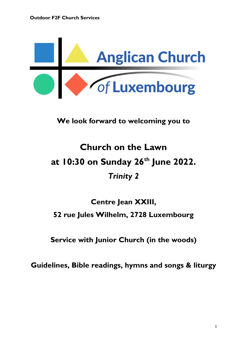

**We look forward to welcoming you to**

# **Church on the Lawn at 10:30 on Sunday 26th June 2022.** *Trinity 2*

## **Centre Jean XXIII, 52 rue Jules Wilhelm, 2728 Luxembourg**

**Service with Junior Church (in the woods)**

**Guidelines, Bible readings, hymns and songs & liturgy**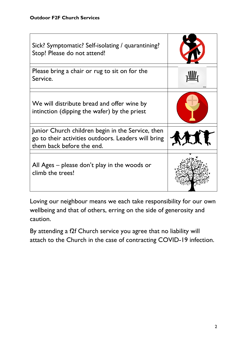| Sick? Symptomatic? Self-isolating / quarantining?<br>Stop! Please do not attend!                                                      |  |
|---------------------------------------------------------------------------------------------------------------------------------------|--|
| Please bring a chair or rug to sit on for the<br>Service.                                                                             |  |
| We will distribute bread and offer wine by<br>intinction (dipping the wafer) by the priest                                            |  |
| Junior Church children begin in the Service, then<br>go to their activities outdoors. Leaders will bring<br>them back before the end. |  |
| All Ages $-$ please don't play in the woods or<br>climb the trees!                                                                    |  |

Loving our neighbour means we each take responsibility for our own wellbeing and that of others, erring on the side of generosity and caution.

By attending a f2f Church service you agree that no liability will attach to the Church in the case of contracting COVID-19 infection.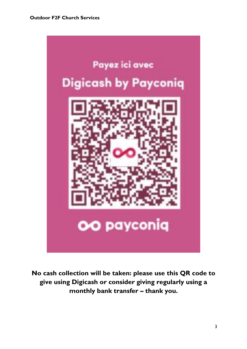

**No cash collection will be taken: please use this QR code to give using Digicash or consider giving regularly using a monthly bank transfer – thank you.**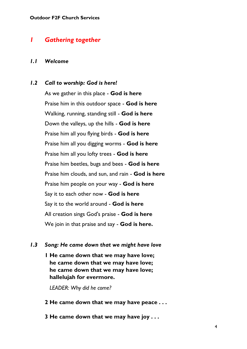## *1 Gathering together*

#### *1.1 Welcome*

#### *1.2 Call to worship: God is here!*

As we gather in this place - **God is here** Praise him in this outdoor space - **God is here** Walking, running, standing still - **God is here** Down the valleys, up the hills - **God is here** Praise him all you flying birds - **God is here** Praise him all you digging worms - **God is here** Praise him all you lofty trees - **God is here** Praise him beetles, bugs and bees - **God is here** Praise him clouds, and sun, and rain - **God is here** Praise him people on your way - **God is here** Say it to each other now - **God is here** Say it to the world around - **God is here** All creation sings God's praise - **God is here** We join in that praise and say - **God is here.**

#### *1.3 Song: He came down that we might have love*

**1 He came down that we may have love; he came down that we may have love; he came down that we may have love; hallelujah for evermore.**

*LEADER: Why did he come?*

- **2 He came down that we may have peace . . .**
- **3 He came down that we may have joy . . .**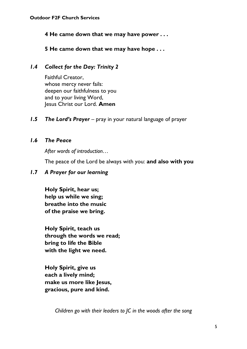**4 He came down that we may have power . . .**

**5 He came down that we may have hope . . .**

## *1.4 Collect for the Day: Trinity 2*

Faithful Creator, whose mercy never fails: deepen our faithfulness to you and to your living Word, Jesus Christ our Lord. **Amen**

*1.5 The Lord's Prayer* – pray in your natural language of prayer

## *1.6 The Peace*

*After words of introduction…*

The peace of the Lord be always with you: **and also with you**

#### *1.7 A Prayer for our learning*

**Holy Spirit, hear us; help us while we sing; breathe into the music of the praise we bring.**

**Holy Spirit, teach us through the words we read; bring to life the Bible with the light we need.**

**Holy Spirit, give us each a lively mind; make us more like Jesus, gracious, pure and kind.**

*Children go with their leaders to JC in the woods after the song*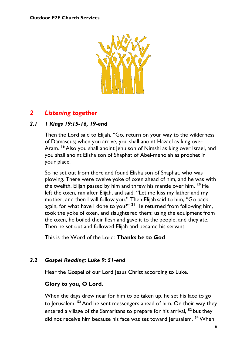

## *2 Listening together*

## *2.1 1 Kings 19:15-16, 19-end*

Then the Lord said to Elijah, "Go, return on your way to the wilderness of Damascus; when you arrive, you shall anoint Hazael as king over Aram. <sup>16</sup> Also you shall anoint Jehu son of Nimshi as king over Israel, and you shall anoint Elisha son of Shaphat of Abel-meholah as prophet in your place.

So he set out from there and found Elisha son of Shaphat, who was plowing. There were twelve yoke of oxen ahead of him, and he was with the twelfth. Elijah passed by him and threw his mantle over him. **<sup>20</sup>** He left the oxen, ran after Elijah, and said, "Let me kiss my father and my mother, and then I will follow you." Then Elijah said to him, "Go back again, for what have I done to you?" **<sup>21</sup>** He returned from following him, took the yoke of oxen, and slaughtered them; using the equipment from the oxen, he boiled their flesh and gave it to the people, and they ate. Then he set out and followed Elijah and became his servant.

This is the Word of the Lord: **Thanks be to God**

## *2.2 Gospel Reading: Luke 9: 51-end*

Hear the Gospel of our Lord Jesus Christ according to Luke.

## **Glory to you, O Lord.**

When the days drew near for him to be taken up, he set his face to go to Jerusalem. **<sup>52</sup>** And he sent messengers ahead of him. On their way they entered a village of the Samaritans to prepare for his arrival, **<sup>53</sup>** but they did not receive him because his face was set toward Jerusalem. **<sup>54</sup>** When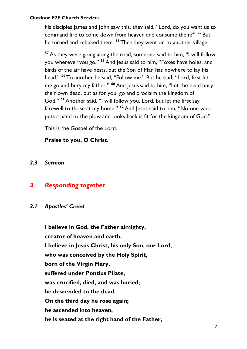his disciples James and John saw this, they said, "Lord, do you want us to command fire to come down from heaven and consume them?" **<sup>55</sup>** But he turned and rebuked them. **<sup>56</sup>** Then they went on to another village.

**<sup>57</sup>**As they were going along the road, someone said to him, "I will follow you wherever you go." **<sup>58</sup>** And Jesus said to him, "Foxes have holes, and birds of the air have nests, but the Son of Man has nowhere to lay his head." **<sup>59</sup>** To another he said, "Follow me." But he said, "Lord, first let me go and bury my father." **<sup>60</sup>** And Jesussaid to him, "Let the dead bury their own dead, but as for you, go and proclaim the kingdom of God." **<sup>61</sup>**Another said, "I will follow you, Lord, but let me first say farewell to those at my home." **<sup>62</sup>** And Jesus said to him, "No one who puts a hand to the plow and looks back is fit for the kingdom of God."

This is the Gospel of the Lord.

## **Praise to you, O Christ.**

*2.3 Sermon*

## *3 Responding together*

*3.1 Apostles' Creed*

**I believe in God, the Father almighty, creator of heaven and earth. I believe in Jesus Christ, his only Son, our Lord, who was conceived by the Holy Spirit, born of the Virgin Mary, suffered under Pontius Pilate, was crucified, died, and was buried; he descended to the dead. On the third day he rose again; he ascended into heaven, he is seated at the right hand of the Father,**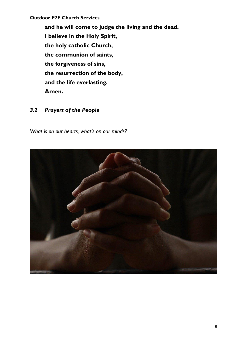**and he will come to judge the living and the dead. I believe in the Holy Spirit, the holy catholic Church, the communion of saints, the forgiveness of sins, the resurrection of the body, and the life everlasting. Amen.**

#### *3.2 Prayers of the People*

*What is on our hearts, what's on our minds?*

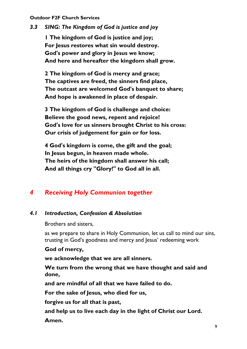*3.3 SING: The Kingdom of God is justice and joy*

**1 The kingdom of God is justice and joy; For Jesus restores what sin would destroy. God's power and glory in Jesus we know; And here and hereafter the kingdom shall grow.**

**2 The kingdom of God is mercy and grace; The captives are freed, the sinners find place, The outcast are welcomed God's banquet to share; And hope is awakened in place of despair.**

**3 The kingdom of God is challenge and choice: Believe the good news, repent and rejoice! God's love for us sinners brought Christ to his cross: Our crisis of judgement for gain or for loss.**

**4 God's kingdom is come, the gift and the goal; In Jesus begun, in heaven made whole. The heirs of the kingdom shall answer his call; And all things cry "Glory!" to God all in all.**

## *4 Receiving Holy Communion together*

#### *4.1 Introduction, Confession & Absolution*

Brothers and sisters,

as we prepare to share in Holy Communion, let us call to mind our sins, trusting in God's goodness and mercy and Jesus' redeeming work

#### **God of mercy,**

**we acknowledge that we are all sinners.**

**We turn from the wrong that we have thought and said and done,**

**and are mindful of all that we have failed to do.**

**For the sake of Jesus, who died for us,**

**forgive us for all that is past,**

**and help us to live each day in the light of Christ our Lord. Amen.**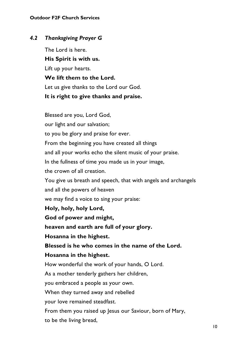#### *4.2 Thanksgiving Prayer G*

The Lord is here.

**His Spirit is with us.**

Lift up your hearts.

**We lift them to the Lord.**

Let us give thanks to the Lord our God.

#### **It is right to give thanks and praise.**

Blessed are you, Lord God, our light and our salvation; to you be glory and praise for ever. From the beginning you have created all things and all your works echo the silent music of your praise. In the fullness of time you made us in your image, the crown of all creation. You give us breath and speech, that with angels and archangels and all the powers of heaven we may find a voice to sing your praise: **Holy, holy, holy Lord, God of power and might, heaven and earth are full of your glory. Hosanna in the highest. Blessed is he who comes in the name of the Lord. Hosanna in the highest.** How wonderful the work of your hands, O Lord. As a mother tenderly gathers her children, you embraced a people as your own. When they turned away and rebelled your love remained steadfast. From them you raised up Jesus our Saviour, born of Mary, to be the living bread,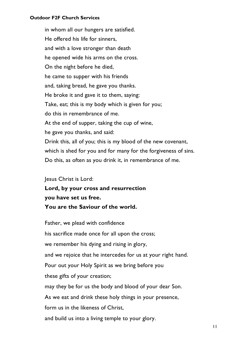in whom all our hungers are satisfied. He offered his life for sinners, and with a love stronger than death he opened wide his arms on the cross. On the night before he died, he came to supper with his friends and, taking bread, he gave you thanks. He broke it and gave it to them, saying: Take, eat; this is my body which is given for you; do this in remembrance of me. At the end of supper, taking the cup of wine, he gave you thanks, and said: Drink this, all of you; this is my blood of the new covenant, which is shed for you and for many for the forgiveness of sins. Do this, as often as you drink it, in remembrance of me.

Jesus Christ is Lord:

**Lord, by your cross and resurrection you have set us free. You are the Saviour of the world.**

Father, we plead with confidence his sacrifice made once for all upon the cross; we remember his dying and rising in glory, and we rejoice that he intercedes for us at your right hand. Pour out your Holy Spirit as we bring before you these gifts of your creation; may they be for us the body and blood of your dear Son. As we eat and drink these holy things in your presence, form us in the likeness of Christ, and build us into a living temple to your glory.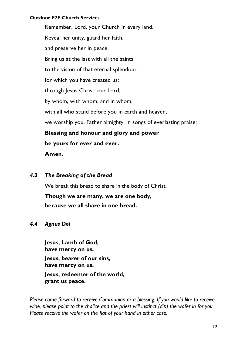Remember, Lord, your Church in every land. Reveal her unity, guard her faith, and preserve her in peace. Bring us at the last with all the saints to the vision of that eternal splendour for which you have created us; through Jesus Christ, our Lord, by whom, with whom, and in whom, with all who stand before you in earth and heaven, we worship you, Father almighty, in songs of everlasting praise: **Blessing and honour and glory and power be yours for ever and ever. Amen.**

*4.3 The Breaking of the Bread*

We break this bread to share in the body of Christ.

**Though we are many, we are one body, because we all share in one bread.**

#### *4.4 Agnus Dei*

**Jesus, Lamb of God, have mercy on us. Jesus, bearer of our sins, have mercy on us. Jesus, redeemer of the world, grant us peace.**

*Please come forward to receive Communion or a blessing. If you would like to receive wine, please point to the chalice and the priest will instinct (dip) the wafer in for you. Please receive the wafer on the flat of your hand in either case.*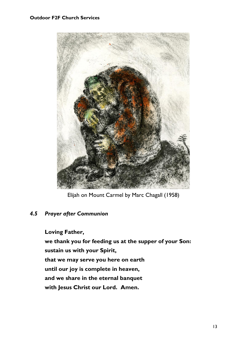

Elijah on Mount Carmel by Marc Chagall (1958)

#### *4.5 Prayer after Communion*

**Loving Father, we thank you for feeding us at the supper of your Son: sustain us with your Spirit, that we may serve you here on earth until our joy is complete in heaven, and we share in the eternal banquet with Jesus Christ our Lord. Amen.**